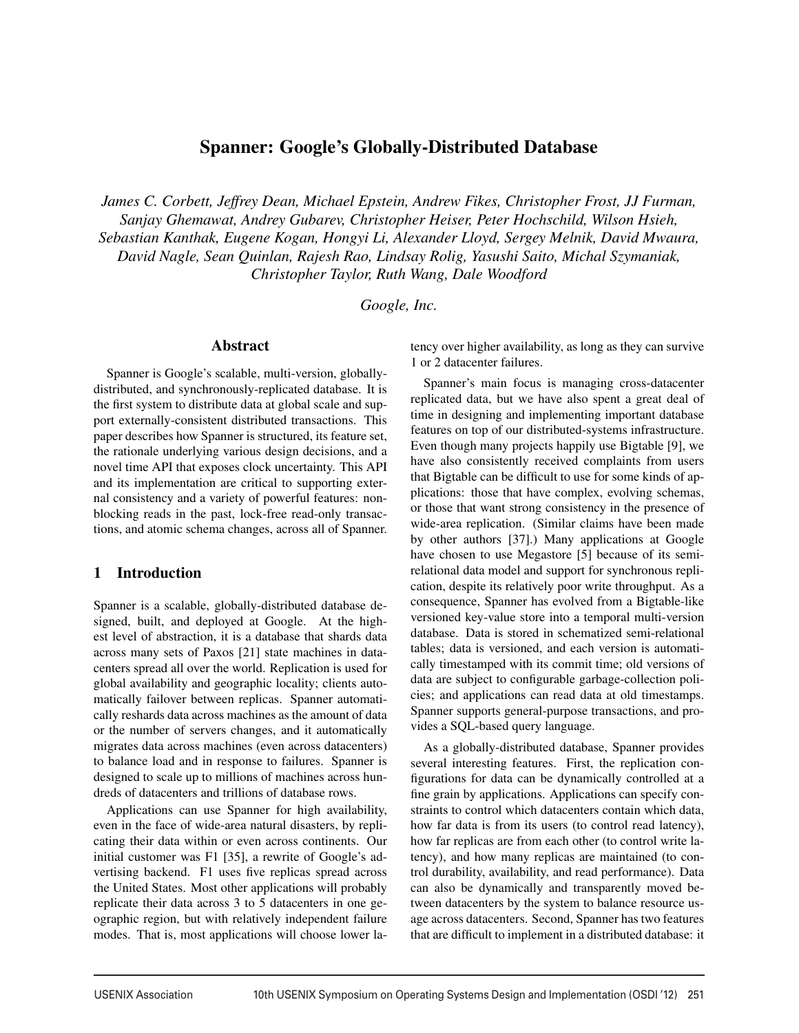# Spanner: Google's Globally-Distributed Database

*James C. Corbett, Jeffrey Dean, Michael Epstein, Andrew Fikes, Christopher Frost, JJ Furman, Sanjay Ghemawat, Andrey Gubarev, Christopher Heiser, Peter Hochschild, Wilson Hsieh, Sebastian Kanthak, Eugene Kogan, Hongyi Li, Alexander Lloyd, Sergey Melnik, David Mwaura, David Nagle, Sean Quinlan, Rajesh Rao, Lindsay Rolig, Yasushi Saito, Michal Szymaniak, Christopher Taylor, Ruth Wang, Dale Woodford*

*Google, Inc.*

## Abstract

Spanner is Google's scalable, multi-version, globallydistributed, and synchronously-replicated database. It is the first system to distribute data at global scale and support externally-consistent distributed transactions. This paper describes how Spanner is structured, its feature set, the rationale underlying various design decisions, and a novel time API that exposes clock uncertainty. This API and its implementation are critical to supporting external consistency and a variety of powerful features: nonblocking reads in the past, lock-free read-only transactions, and atomic schema changes, across all of Spanner.

# 1 Introduction

Spanner is a scalable, globally-distributed database designed, built, and deployed at Google. At the highest level of abstraction, it is a database that shards data across many sets of Paxos [21] state machines in datacenters spread all over the world. Replication is used for global availability and geographic locality; clients automatically failover between replicas. Spanner automatically reshards data across machines as the amount of data or the number of servers changes, and it automatically migrates data across machines (even across datacenters) to balance load and in response to failures. Spanner is designed to scale up to millions of machines across hundreds of datacenters and trillions of database rows.

Applications can use Spanner for high availability, even in the face of wide-area natural disasters, by replicating their data within or even across continents. Our initial customer was F1 [35], a rewrite of Google's advertising backend. F1 uses five replicas spread across the United States. Most other applications will probably replicate their data across 3 to 5 datacenters in one geographic region, but with relatively independent failure modes. That is, most applications will choose lower latency over higher availability, as long as they can survive 1 or 2 datacenter failures.

Spanner's main focus is managing cross-datacenter replicated data, but we have also spent a great deal of time in designing and implementing important database features on top of our distributed-systems infrastructure. Even though many projects happily use Bigtable [9], we have also consistently received complaints from users that Bigtable can be difficult to use for some kinds of applications: those that have complex, evolving schemas, or those that want strong consistency in the presence of wide-area replication. (Similar claims have been made by other authors [37].) Many applications at Google have chosen to use Megastore [5] because of its semirelational data model and support for synchronous replication, despite its relatively poor write throughput. As a consequence, Spanner has evolved from a Bigtable-like versioned key-value store into a temporal multi-version database. Data is stored in schematized semi-relational tables; data is versioned, and each version is automatically timestamped with its commit time; old versions of data are subject to configurable garbage-collection policies; and applications can read data at old timestamps. Spanner supports general-purpose transactions, and provides a SQL-based query language.

As a globally-distributed database, Spanner provides several interesting features. First, the replication configurations for data can be dynamically controlled at a fine grain by applications. Applications can specify constraints to control which datacenters contain which data, how far data is from its users (to control read latency), how far replicas are from each other (to control write latency), and how many replicas are maintained (to control durability, availability, and read performance). Data can also be dynamically and transparently moved between datacenters by the system to balance resource usage across datacenters. Second, Spanner has two features that are difficult to implement in a distributed database: it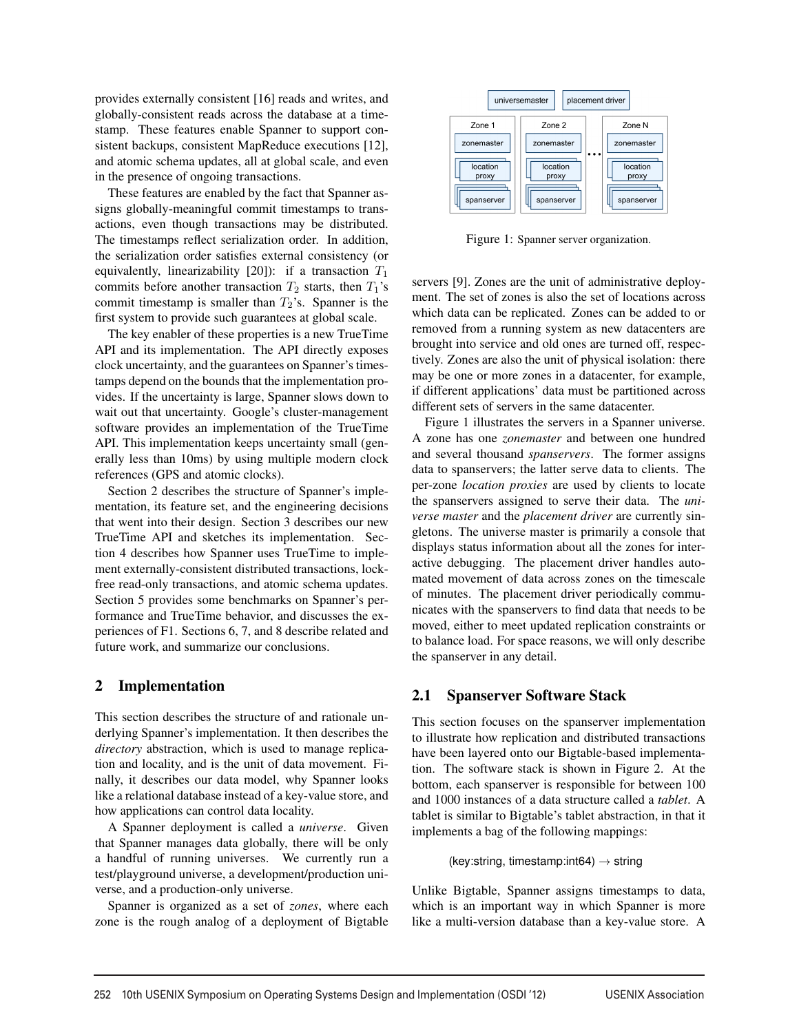provides externally consistent [16] reads and writes, and globally-consistent reads across the database at a timestamp. These features enable Spanner to support consistent backups, consistent MapReduce executions [12], and atomic schema updates, all at global scale, and even in the presence of ongoing transactions.

These features are enabled by the fact that Spanner assigns globally-meaningful commit timestamps to transactions, even though transactions may be distributed. The timestamps reflect serialization order. In addition, the serialization order satisfies external consistency (or equivalently, linearizability [20]): if a transaction  $T_1$ commits before another transaction  $T_2$  starts, then  $T_1$ 's commit timestamp is smaller than  $T_2$ 's. Spanner is the first system to provide such guarantees at global scale.

The key enabler of these properties is a new TrueTime API and its implementation. The API directly exposes clock uncertainty, and the guarantees on Spanner's timestamps depend on the bounds that the implementation provides. If the uncertainty is large, Spanner slows down to wait out that uncertainty. Google's cluster-management software provides an implementation of the TrueTime API. This implementation keeps uncertainty small (generally less than 10ms) by using multiple modern clock references (GPS and atomic clocks).

Section 2 describes the structure of Spanner's implementation, its feature set, and the engineering decisions that went into their design. Section 3 describes our new TrueTime API and sketches its implementation. Section 4 describes how Spanner uses TrueTime to implement externally-consistent distributed transactions, lockfree read-only transactions, and atomic schema updates. Section 5 provides some benchmarks on Spanner's performance and TrueTime behavior, and discusses the experiences of F1. Sections 6, 7, and 8 describe related and future work, and summarize our conclusions.

# 2 Implementation

This section describes the structure of and rationale underlying Spanner's implementation. It then describes the *directory* abstraction, which is used to manage replication and locality, and is the unit of data movement. Finally, it describes our data model, why Spanner looks like a relational database instead of a key-value store, and how applications can control data locality.

A Spanner deployment is called a *universe*. Given that Spanner manages data globally, there will be only a handful of running universes. We currently run a test/playground universe, a development/production universe, and a production-only universe.

Spanner is organized as a set of *zones*, where each zone is the rough analog of a deployment of Bigtable



Figure 1: Spanner server organization.

servers [9]. Zones are the unit of administrative deployment. The set of zones is also the set of locations across which data can be replicated. Zones can be added to or removed from a running system as new datacenters are brought into service and old ones are turned off, respectively. Zones are also the unit of physical isolation: there may be one or more zones in a datacenter, for example, if different applications' data must be partitioned across different sets of servers in the same datacenter.

Figure 1 illustrates the servers in a Spanner universe. A zone has one *zonemaster* and between one hundred and several thousand *spanservers*. The former assigns data to spanservers; the latter serve data to clients. The per-zone *location proxies* are used by clients to locate the spanservers assigned to serve their data. The *universe master* and the *placement driver* are currently singletons. The universe master is primarily a console that displays status information about all the zones for interactive debugging. The placement driver handles automated movement of data across zones on the timescale of minutes. The placement driver periodically communicates with the spanservers to find data that needs to be moved, either to meet updated replication constraints or to balance load. For space reasons, we will only describe the spanserver in any detail.

# 2.1 Spanserver Software Stack

This section focuses on the spanserver implementation to illustrate how replication and distributed transactions have been layered onto our Bigtable-based implementation. The software stack is shown in Figure 2. At the bottom, each spanserver is responsible for between 100 and 1000 instances of a data structure called a *tablet*. A tablet is similar to Bigtable's tablet abstraction, in that it implements a bag of the following mappings:

(key:string, timestamp:int64)  $\rightarrow$  string

Unlike Bigtable, Spanner assigns timestamps to data, which is an important way in which Spanner is more like a multi-version database than a key-value store. A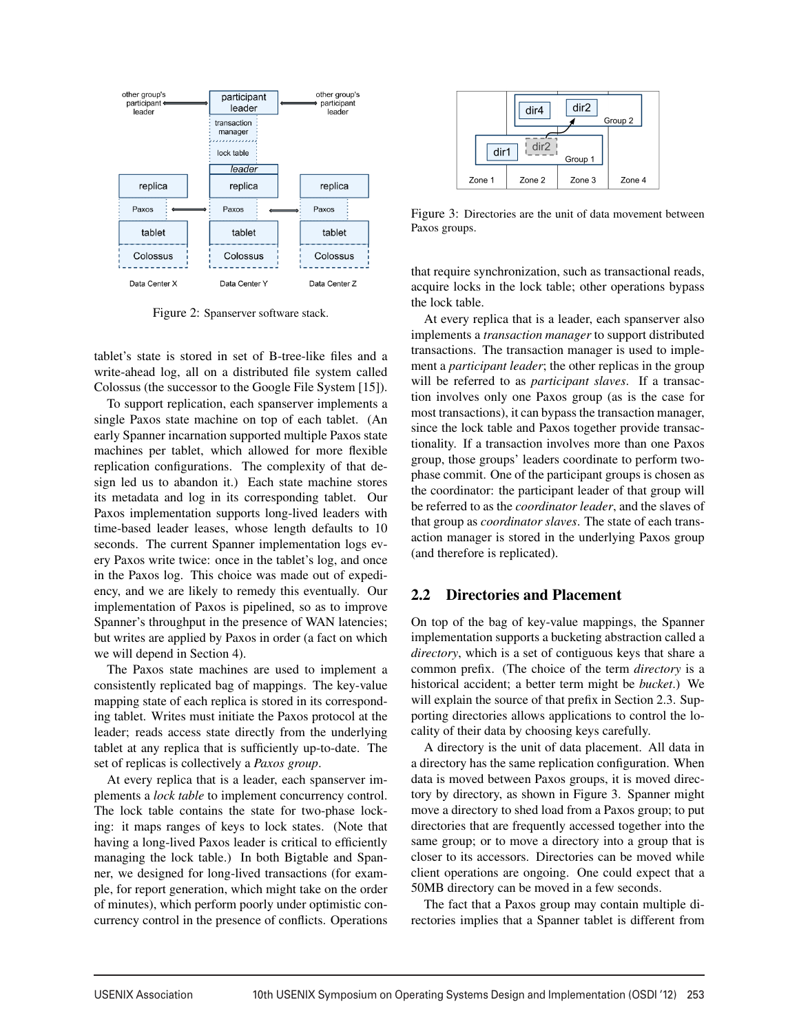

Figure 2: Spanserver software stack.

tablet's state is stored in set of B-tree-like files and a write-ahead log, all on a distributed file system called Colossus (the successor to the Google File System [15]).

To support replication, each spanserver implements a single Paxos state machine on top of each tablet. (An early Spanner incarnation supported multiple Paxos state machines per tablet, which allowed for more flexible replication configurations. The complexity of that design led us to abandon it.) Each state machine stores its metadata and log in its corresponding tablet. Our Paxos implementation supports long-lived leaders with time-based leader leases, whose length defaults to 10 seconds. The current Spanner implementation logs every Paxos write twice: once in the tablet's log, and once in the Paxos log. This choice was made out of expediency, and we are likely to remedy this eventually. Our implementation of Paxos is pipelined, so as to improve Spanner's throughput in the presence of WAN latencies; but writes are applied by Paxos in order (a fact on which we will depend in Section 4).

The Paxos state machines are used to implement a consistently replicated bag of mappings. The key-value mapping state of each replica is stored in its corresponding tablet. Writes must initiate the Paxos protocol at the leader; reads access state directly from the underlying tablet at any replica that is sufficiently up-to-date. The set of replicas is collectively a *Paxos group*.

At every replica that is a leader, each spanserver implements a *lock table* to implement concurrency control. The lock table contains the state for two-phase locking: it maps ranges of keys to lock states. (Note that having a long-lived Paxos leader is critical to efficiently managing the lock table.) In both Bigtable and Spanner, we designed for long-lived transactions (for example, for report generation, which might take on the order of minutes), which perform poorly under optimistic concurrency control in the presence of conflicts. Operations



Figure 3: Directories are the unit of data movement between Paxos groups.

that require synchronization, such as transactional reads, acquire locks in the lock table; other operations bypass the lock table.

At every replica that is a leader, each spanserver also implements a *transaction manager* to support distributed transactions. The transaction manager is used to implement a *participant leader*; the other replicas in the group will be referred to as *participant slaves*. If a transaction involves only one Paxos group (as is the case for most transactions), it can bypass the transaction manager, since the lock table and Paxos together provide transactionality. If a transaction involves more than one Paxos group, those groups' leaders coordinate to perform twophase commit. One of the participant groups is chosen as the coordinator: the participant leader of that group will be referred to as the *coordinator leader*, and the slaves of that group as *coordinator slaves*. The state of each transaction manager is stored in the underlying Paxos group (and therefore is replicated).

# 2.2 Directories and Placement

On top of the bag of key-value mappings, the Spanner implementation supports a bucketing abstraction called a *directory*, which is a set of contiguous keys that share a common prefix. (The choice of the term *directory* is a historical accident; a better term might be *bucket*.) We will explain the source of that prefix in Section 2.3. Supporting directories allows applications to control the locality of their data by choosing keys carefully.

A directory is the unit of data placement. All data in a directory has the same replication configuration. When data is moved between Paxos groups, it is moved directory by directory, as shown in Figure 3. Spanner might move a directory to shed load from a Paxos group; to put directories that are frequently accessed together into the same group; or to move a directory into a group that is closer to its accessors. Directories can be moved while client operations are ongoing. One could expect that a 50MB directory can be moved in a few seconds.

The fact that a Paxos group may contain multiple directories implies that a Spanner tablet is different from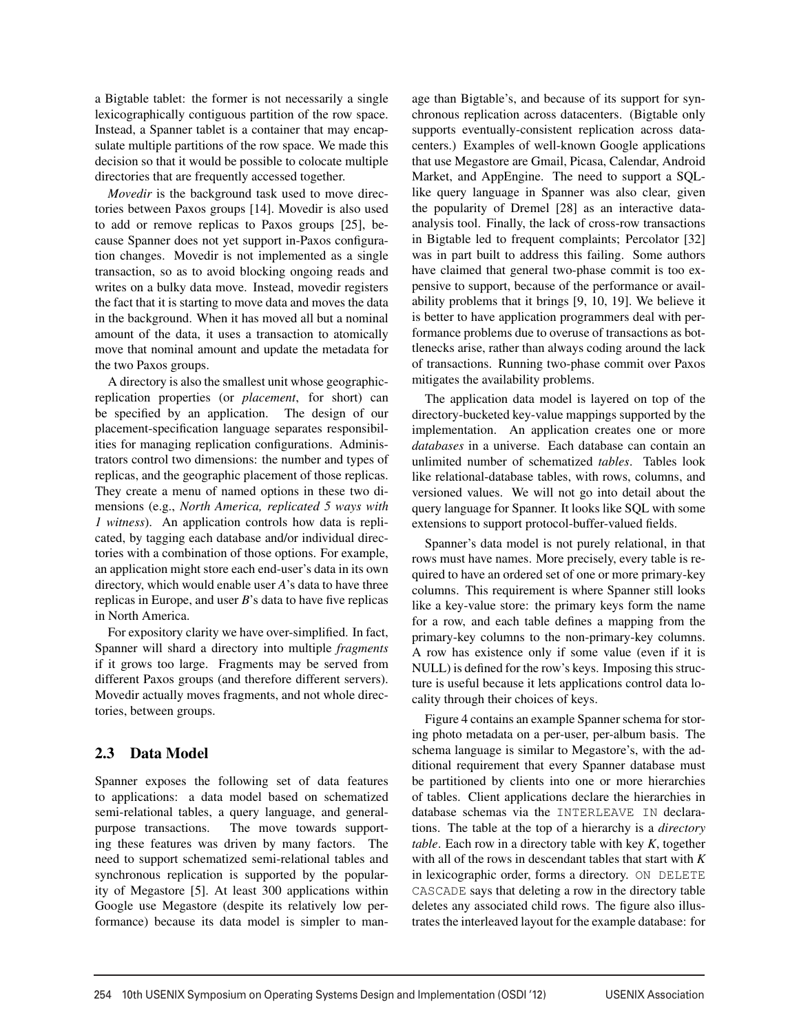a Bigtable tablet: the former is not necessarily a single lexicographically contiguous partition of the row space. Instead, a Spanner tablet is a container that may encapsulate multiple partitions of the row space. We made this decision so that it would be possible to colocate multiple directories that are frequently accessed together.

*Movedir* is the background task used to move directories between Paxos groups [14]. Movedir is also used to add or remove replicas to Paxos groups [25], because Spanner does not yet support in-Paxos configuration changes. Movedir is not implemented as a single transaction, so as to avoid blocking ongoing reads and writes on a bulky data move. Instead, movedir registers the fact that it is starting to move data and moves the data in the background. When it has moved all but a nominal amount of the data, it uses a transaction to atomically move that nominal amount and update the metadata for the two Paxos groups.

A directory is also the smallest unit whose geographicreplication properties (or *placement*, for short) can be specified by an application. The design of our placement-specification language separates responsibilities for managing replication configurations. Administrators control two dimensions: the number and types of replicas, and the geographic placement of those replicas. They create a menu of named options in these two dimensions (e.g., *North America, replicated 5 ways with 1 witness*). An application controls how data is replicated, by tagging each database and/or individual directories with a combination of those options. For example, an application might store each end-user's data in its own directory, which would enable user *A*'s data to have three replicas in Europe, and user *B*'s data to have five replicas in North America.

For expository clarity we have over-simplified. In fact, Spanner will shard a directory into multiple *fragments* if it grows too large. Fragments may be served from different Paxos groups (and therefore different servers). Movedir actually moves fragments, and not whole directories, between groups.

# 2.3 Data Model

Spanner exposes the following set of data features to applications: a data model based on schematized semi-relational tables, a query language, and generalpurpose transactions. The move towards supporting these features was driven by many factors. The need to support schematized semi-relational tables and synchronous replication is supported by the popularity of Megastore [5]. At least 300 applications within Google use Megastore (despite its relatively low performance) because its data model is simpler to manage than Bigtable's, and because of its support for synchronous replication across datacenters. (Bigtable only supports eventually-consistent replication across datacenters.) Examples of well-known Google applications that use Megastore are Gmail, Picasa, Calendar, Android Market, and AppEngine. The need to support a SQLlike query language in Spanner was also clear, given the popularity of Dremel [28] as an interactive dataanalysis tool. Finally, the lack of cross-row transactions in Bigtable led to frequent complaints; Percolator [32] was in part built to address this failing. Some authors have claimed that general two-phase commit is too expensive to support, because of the performance or availability problems that it brings [9, 10, 19]. We believe it is better to have application programmers deal with performance problems due to overuse of transactions as bottlenecks arise, rather than always coding around the lack of transactions. Running two-phase commit over Paxos mitigates the availability problems.

The application data model is layered on top of the directory-bucketed key-value mappings supported by the implementation. An application creates one or more *databases* in a universe. Each database can contain an unlimited number of schematized *tables*. Tables look like relational-database tables, with rows, columns, and versioned values. We will not go into detail about the query language for Spanner. It looks like SQL with some extensions to support protocol-buffer-valued fields.

Spanner's data model is not purely relational, in that rows must have names. More precisely, every table is required to have an ordered set of one or more primary-key columns. This requirement is where Spanner still looks like a key-value store: the primary keys form the name for a row, and each table defines a mapping from the primary-key columns to the non-primary-key columns. A row has existence only if some value (even if it is NULL) is defined for the row's keys. Imposing this structure is useful because it lets applications control data locality through their choices of keys.

Figure 4 contains an example Spanner schema for storing photo metadata on a per-user, per-album basis. The schema language is similar to Megastore's, with the additional requirement that every Spanner database must be partitioned by clients into one or more hierarchies of tables. Client applications declare the hierarchies in database schemas via the INTERLEAVE IN declarations. The table at the top of a hierarchy is a *directory table*. Each row in a directory table with key *K*, together with all of the rows in descendant tables that start with *K* in lexicographic order, forms a directory. ON DELETE CASCADE says that deleting a row in the directory table deletes any associated child rows. The figure also illustrates the interleaved layout for the example database: for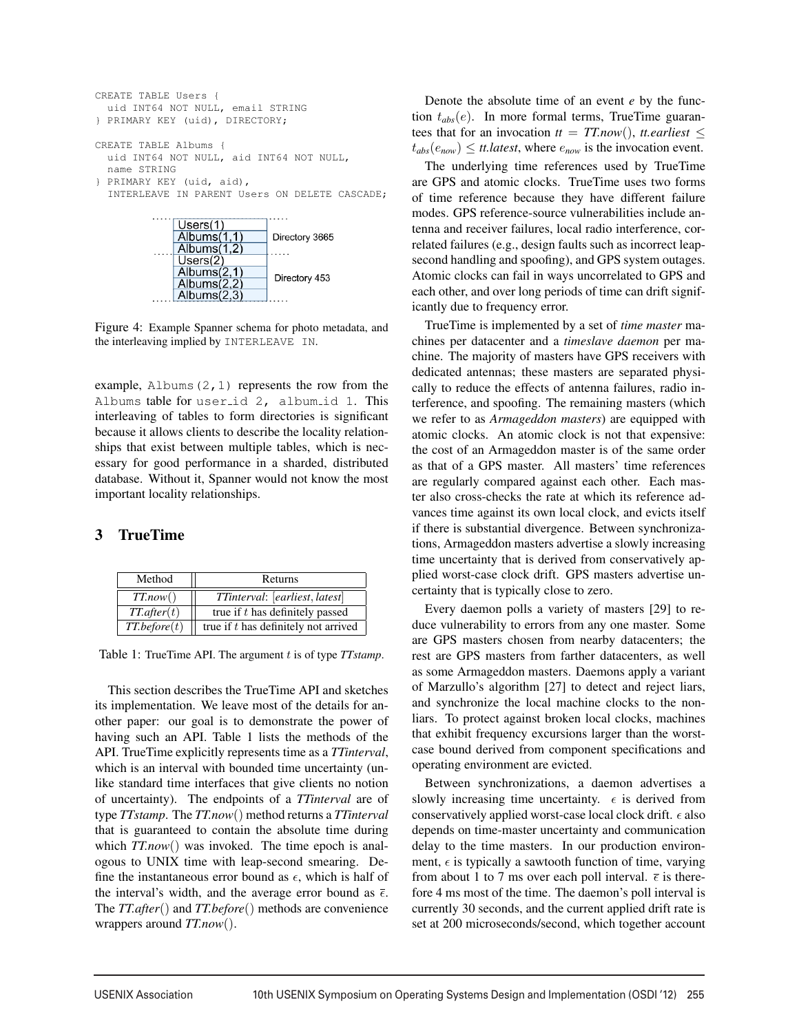

Figure 4: Example Spanner schema for photo metadata, and the interleaving implied by INTERLEAVE IN.

example, Albums $(2, 1)$  represents the row from the Albums table for user id 2, album id 1. This interleaving of tables to form directories is significant because it allows clients to describe the locality relationships that exist between multiple tables, which is necessary for good performance in a sharded, distributed database. Without it, Spanner would not know the most important locality relationships.

# 3 TrueTime

| Method                                     | Returns                                |  |
|--------------------------------------------|----------------------------------------|--|
| TTnow()                                    | TTinterval: [earliest, latest]         |  |
| $\overline{T}$ <i>T.after</i> ( <i>t</i> ) | true if t has definitely passed        |  |
| $\overline{TT. before(t)}$                 | true if $t$ has definitely not arrived |  |

Table 1: TrueTime API. The argument t is of type *TTstamp*.

This section describes the TrueTime API and sketches its implementation. We leave most of the details for another paper: our goal is to demonstrate the power of having such an API. Table 1 lists the methods of the API. TrueTime explicitly represents time as a *TTinterval*, which is an interval with bounded time uncertainty (unlike standard time interfaces that give clients no notion of uncertainty). The endpoints of a *TTinterval* are of type *TTstamp*. The *TT.now*() method returns a *TTinterval* that is guaranteed to contain the absolute time during which *TT.now*() was invoked. The time epoch is analogous to UNIX time with leap-second smearing. Define the instantaneous error bound as  $\epsilon$ , which is half of the interval's width, and the average error bound as  $\bar{\epsilon}$ . The *TT.after*() and *TT.before*() methods are convenience wrappers around *TT.now*().

Denote the absolute time of an event *e* by the function  $t_{abs}(e)$ . In more formal terms, TrueTime guarantees that for an invocation  $tt = TTnow(),$  *tt.earliest*  $\leq$  $t_{abs}(e_{now}) \leq tt$ *latest*, where  $e_{now}$  is the invocation event.

The underlying time references used by TrueTime are GPS and atomic clocks. TrueTime uses two forms of time reference because they have different failure modes. GPS reference-source vulnerabilities include antenna and receiver failures, local radio interference, correlated failures (e.g., design faults such as incorrect leapsecond handling and spoofing), and GPS system outages. Atomic clocks can fail in ways uncorrelated to GPS and each other, and over long periods of time can drift significantly due to frequency error.

TrueTime is implemented by a set of *time master* machines per datacenter and a *timeslave daemon* per machine. The majority of masters have GPS receivers with dedicated antennas; these masters are separated physically to reduce the effects of antenna failures, radio interference, and spoofing. The remaining masters (which we refer to as *Armageddon masters*) are equipped with atomic clocks. An atomic clock is not that expensive: the cost of an Armageddon master is of the same order as that of a GPS master. All masters' time references are regularly compared against each other. Each master also cross-checks the rate at which its reference advances time against its own local clock, and evicts itself if there is substantial divergence. Between synchronizations, Armageddon masters advertise a slowly increasing time uncertainty that is derived from conservatively applied worst-case clock drift. GPS masters advertise uncertainty that is typically close to zero.

Every daemon polls a variety of masters [29] to reduce vulnerability to errors from any one master. Some are GPS masters chosen from nearby datacenters; the rest are GPS masters from farther datacenters, as well as some Armageddon masters. Daemons apply a variant of Marzullo's algorithm [27] to detect and reject liars, and synchronize the local machine clocks to the nonliars. To protect against broken local clocks, machines that exhibit frequency excursions larger than the worstcase bound derived from component specifications and operating environment are evicted.

Between synchronizations, a daemon advertises a slowly increasing time uncertainty.  $\epsilon$  is derived from conservatively applied worst-case local clock drift.  $\epsilon$  also depends on time-master uncertainty and communication delay to the time masters. In our production environment,  $\epsilon$  is typically a sawtooth function of time, varying from about 1 to 7 ms over each poll interval.  $\bar{\epsilon}$  is therefore 4 ms most of the time. The daemon's poll interval is currently 30 seconds, and the current applied drift rate is set at 200 microseconds/second, which together account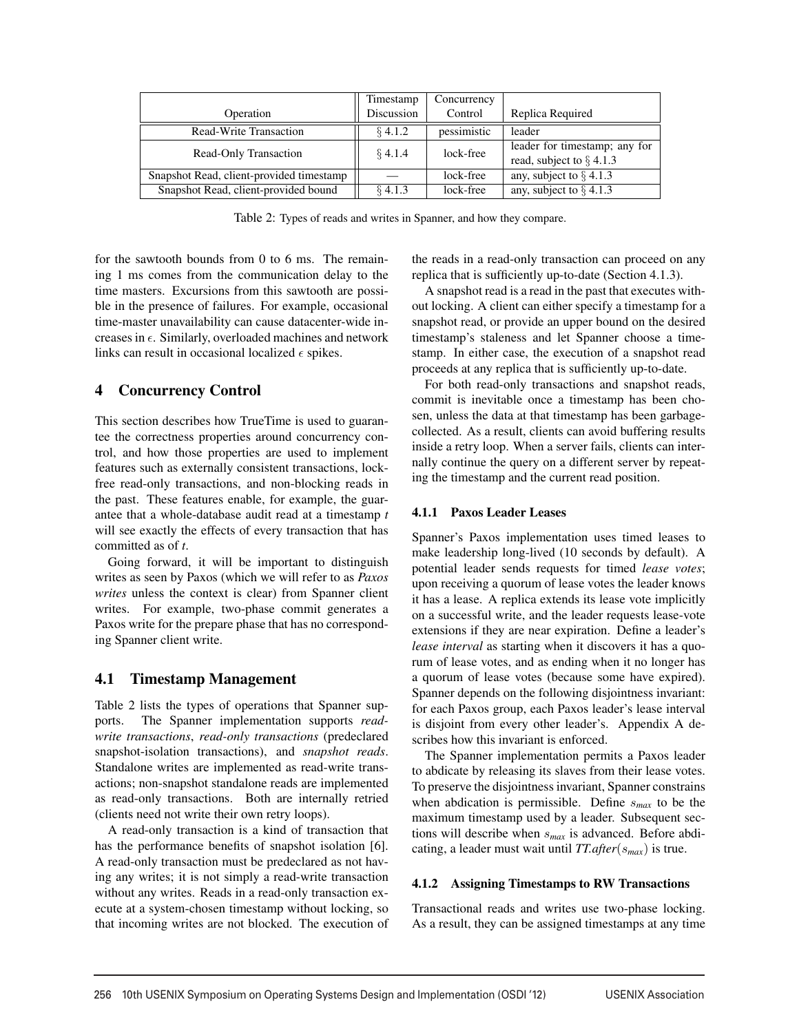|                                          | Timestamp  | Concurrency |                               |
|------------------------------------------|------------|-------------|-------------------------------|
| Operation                                | Discussion | Control     | Replica Required              |
| Read-Write Transaction                   | $§$ 4.1.2  | pessimistic | leader                        |
| Read-Only Transaction                    | $§$ 4.1.4  | lock-free   | leader for timestamp; any for |
|                                          |            |             | read, subject to $\S 4.1.3$   |
| Snapshot Read, client-provided timestamp |            | lock-free   | any, subject to $\S$ 4.1.3    |
| Snapshot Read, client-provided bound     | $§$ 4.1.3  | lock-free   | any, subject to $\S$ 4.1.3    |

Table 2: Types of reads and writes in Spanner, and how they compare.

for the sawtooth bounds from 0 to 6 ms. The remaining 1 ms comes from the communication delay to the time masters. Excursions from this sawtooth are possible in the presence of failures. For example, occasional time-master unavailability can cause datacenter-wide increases in  $\epsilon$ . Similarly, overloaded machines and network links can result in occasional localized  $\epsilon$  spikes.

## 4 Concurrency Control

This section describes how TrueTime is used to guarantee the correctness properties around concurrency control, and how those properties are used to implement features such as externally consistent transactions, lockfree read-only transactions, and non-blocking reads in the past. These features enable, for example, the guarantee that a whole-database audit read at a timestamp *t* will see exactly the effects of every transaction that has committed as of *t*.

Going forward, it will be important to distinguish writes as seen by Paxos (which we will refer to as *Paxos writes* unless the context is clear) from Spanner client writes. For example, two-phase commit generates a Paxos write for the prepare phase that has no corresponding Spanner client write.

#### 4.1 Timestamp Management

Table 2 lists the types of operations that Spanner supports. The Spanner implementation supports *readwrite transactions*, *read-only transactions* (predeclared snapshot-isolation transactions), and *snapshot reads*. Standalone writes are implemented as read-write transactions; non-snapshot standalone reads are implemented as read-only transactions. Both are internally retried (clients need not write their own retry loops).

A read-only transaction is a kind of transaction that has the performance benefits of snapshot isolation [6]. A read-only transaction must be predeclared as not having any writes; it is not simply a read-write transaction without any writes. Reads in a read-only transaction execute at a system-chosen timestamp without locking, so that incoming writes are not blocked. The execution of

the reads in a read-only transaction can proceed on any replica that is sufficiently up-to-date (Section 4.1.3).

A snapshot read is a read in the past that executes without locking. A client can either specify a timestamp for a snapshot read, or provide an upper bound on the desired timestamp's staleness and let Spanner choose a timestamp. In either case, the execution of a snapshot read proceeds at any replica that is sufficiently up-to-date.

For both read-only transactions and snapshot reads, commit is inevitable once a timestamp has been chosen, unless the data at that timestamp has been garbagecollected. As a result, clients can avoid buffering results inside a retry loop. When a server fails, clients can internally continue the query on a different server by repeating the timestamp and the current read position.

#### 4.1.1 Paxos Leader Leases

Spanner's Paxos implementation uses timed leases to make leadership long-lived (10 seconds by default). A potential leader sends requests for timed *lease votes*; upon receiving a quorum of lease votes the leader knows it has a lease. A replica extends its lease vote implicitly on a successful write, and the leader requests lease-vote extensions if they are near expiration. Define a leader's *lease interval* as starting when it discovers it has a quorum of lease votes, and as ending when it no longer has a quorum of lease votes (because some have expired). Spanner depends on the following disjointness invariant: for each Paxos group, each Paxos leader's lease interval is disjoint from every other leader's. Appendix A describes how this invariant is enforced.

The Spanner implementation permits a Paxos leader to abdicate by releasing its slaves from their lease votes. To preserve the disjointness invariant, Spanner constrains when abdication is permissible. Define s*max* to be the maximum timestamp used by a leader. Subsequent sections will describe when s*max* is advanced. Before abdicating, a leader must wait until *TT.after*(s*max*) is true.

#### 4.1.2 Assigning Timestamps to RW Transactions

Transactional reads and writes use two-phase locking. As a result, they can be assigned timestamps at any time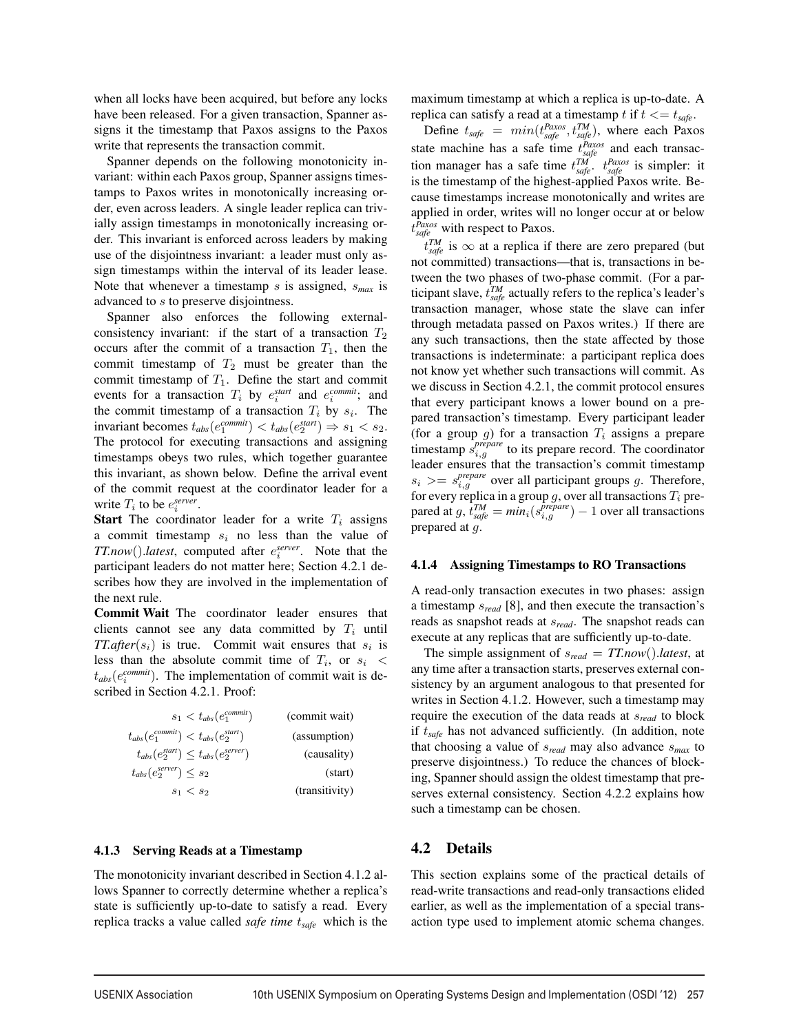when all locks have been acquired, but before any locks have been released. For a given transaction, Spanner assigns it the timestamp that Paxos assigns to the Paxos write that represents the transaction commit.

Spanner depends on the following monotonicity invariant: within each Paxos group, Spanner assigns timestamps to Paxos writes in monotonically increasing order, even across leaders. A single leader replica can trivially assign timestamps in monotonically increasing order. This invariant is enforced across leaders by making use of the disjointness invariant: a leader must only assign timestamps within the interval of its leader lease. Note that whenever a timestamp s is assigned, s*max* is advanced to s to preserve disjointness.

Spanner also enforces the following externalconsistency invariant: if the start of a transaction  $T_2$ occurs after the commit of a transaction  $T_1$ , then the commit timestamp of  $T_2$  must be greater than the commit timestamp of  $T_1$ . Define the start and commit events for a transaction  $T_i$  by  $e_i^{start}$  and  $e_i^{commit}$ ; and the commit timestamp of a transaction  $T_i$  by  $s_i$ . The invariant becomes  $t_{abs}(e_1^{commit}) < t_{abs}(e_2^{start}) \Rightarrow s_1 < s_2$ . The protocol for executing transactions and assigning timestamps obeys two rules, which together guarantee this invariant, as shown below. Define the arrival event of the commit request at the coordinator leader for a write  $T_i$  to be  $e_i^{server}$ .

**Start** The coordinator leader for a write  $T_i$  assigns a commit timestamp  $s_i$  no less than the value of *TT.now*().*latest*, computed after e*server* <sup>i</sup> . Note that the participant leaders do not matter here; Section 4.2.1 describes how they are involved in the implementation of the next rule.

Commit Wait The coordinator leader ensures that clients cannot see any data committed by  $T_i$  until *TT.after*( $s_i$ ) is true. Commit wait ensures that  $s_i$  is less than the absolute commit time of  $T_i$ , or  $s_i$  <  $t_{\text{abs}}(e_i^{\text{commit}})$ . The implementation of commit wait is described in Section 4.2.1. Proof:

| $s_1 < t_{abs}(e_1^{commit})$                     | (commit wait)  |
|---------------------------------------------------|----------------|
| $t_{abs}(e_1^{commit}) < t_{abs}(e_2^{start})$    | (assumption)   |
| $t_{abs}(e_2^{start}) \leq t_{abs}(e_2^{server})$ | (causality)    |
| $t_{abs}(e_2^{server}) \leq s_2$                  | (start)        |
| $s_1 < s_2$                                       | (transitivity) |

#### 4.1.3 Serving Reads at a Timestamp

The monotonicity invariant described in Section 4.1.2 allows Spanner to correctly determine whether a replica's state is sufficiently up-to-date to satisfy a read. Every replica tracks a value called *safe time* t*safe* which is the maximum timestamp at which a replica is up-to-date. A replica can satisfy a read at a timestamp t if  $t \leq t_{\text{safe}}$ .

Define  $t_{\text{safe}} = \min(t_{\text{safe}}^{\text{Paxos}}, t_{\text{safe}}^{\text{TM}})$ , where each Paxos state machine has a safe time  $t_{\text{safe}}^{Paxos}$  and each transaction manager has a safe time  $t_{\textit{safe}}^{TM}$ .  $t_{\textit{safe}}^{Paxos}$  is simpler: it is the timestamp of the highest-applied Paxos write. Because timestamps increase monotonically and writes are applied in order, writes will no longer occur at or below t *Paxos safe* with respect to Paxos.

 $t_{\textit{safe}}^{TM}$  is  $\infty$  at a replica if there are zero prepared (but not committed) transactions—that is, transactions in between the two phases of two-phase commit. (For a participant slave,  $t_{safe}^{TM}$  actually refers to the replica's leader's transaction manager, whose state the slave can infer through metadata passed on Paxos writes.) If there are any such transactions, then the state affected by those transactions is indeterminate: a participant replica does not know yet whether such transactions will commit. As we discuss in Section 4.2.1, the commit protocol ensures that every participant knows a lower bound on a prepared transaction's timestamp. Every participant leader (for a group q) for a transaction  $T_i$  assigns a prepare timestamp  $\hat{s}^{prepare}_{i,g}$  to its prepare record. The coordinator leader ensures that the transaction's commit timestamp  $s_i \geq s_{i,g}^{prepare}$  over all participant groups g. Therefore, for every replica in a group  $g$ , over all transactions  $T_i$  prepared at  $g$ ,  $\frac{f^{TM}}{s_{\text{safe}}} = \min_i (s^{prepare}_{i,j}) - 1$  over all transactions prepared at g.

#### 4.1.4 Assigning Timestamps to RO Transactions

A read-only transaction executes in two phases: assign a timestamp s*read* [8], and then execute the transaction's reads as snapshot reads at s*read*. The snapshot reads can execute at any replicas that are sufficiently up-to-date.

The simple assignment of s*read* = *TT.now*().*latest*, at any time after a transaction starts, preserves external consistency by an argument analogous to that presented for writes in Section 4.1.2. However, such a timestamp may require the execution of the data reads at s*read* to block if t*safe* has not advanced sufficiently. (In addition, note that choosing a value of s*read* may also advance s*max* to preserve disjointness.) To reduce the chances of blocking, Spanner should assign the oldest timestamp that preserves external consistency. Section 4.2.2 explains how such a timestamp can be chosen.

#### 4.2 Details

This section explains some of the practical details of read-write transactions and read-only transactions elided earlier, as well as the implementation of a special transaction type used to implement atomic schema changes.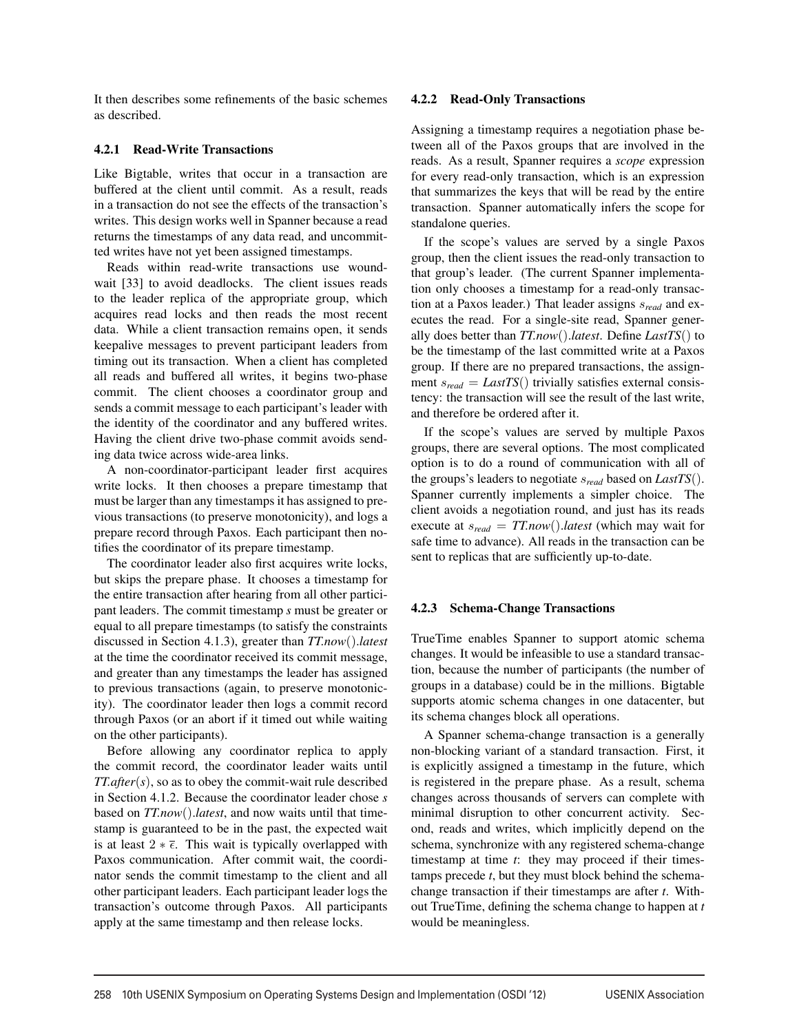It then describes some refinements of the basic schemes as described.

#### 4.2.1 Read-Write Transactions

Like Bigtable, writes that occur in a transaction are buffered at the client until commit. As a result, reads in a transaction do not see the effects of the transaction's writes. This design works well in Spanner because a read returns the timestamps of any data read, and uncommitted writes have not yet been assigned timestamps.

Reads within read-write transactions use woundwait [33] to avoid deadlocks. The client issues reads to the leader replica of the appropriate group, which acquires read locks and then reads the most recent data. While a client transaction remains open, it sends keepalive messages to prevent participant leaders from timing out its transaction. When a client has completed all reads and buffered all writes, it begins two-phase commit. The client chooses a coordinator group and sends a commit message to each participant's leader with the identity of the coordinator and any buffered writes. Having the client drive two-phase commit avoids sending data twice across wide-area links.

A non-coordinator-participant leader first acquires write locks. It then chooses a prepare timestamp that must be larger than any timestamps it has assigned to previous transactions (to preserve monotonicity), and logs a prepare record through Paxos. Each participant then notifies the coordinator of its prepare timestamp.

The coordinator leader also first acquires write locks, but skips the prepare phase. It chooses a timestamp for the entire transaction after hearing from all other participant leaders. The commit timestamp *s* must be greater or equal to all prepare timestamps (to satisfy the constraints discussed in Section 4.1.3), greater than *TT.now*().*latest* at the time the coordinator received its commit message, and greater than any timestamps the leader has assigned to previous transactions (again, to preserve monotonicity). The coordinator leader then logs a commit record through Paxos (or an abort if it timed out while waiting on the other participants).

Before allowing any coordinator replica to apply the commit record, the coordinator leader waits until *TT.after*(*s*), so as to obey the commit-wait rule described in Section 4.1.2. Because the coordinator leader chose *s* based on *TT.now*().*latest*, and now waits until that timestamp is guaranteed to be in the past, the expected wait is at least  $2 * \bar{e}$ . This wait is typically overlapped with Paxos communication. After commit wait, the coordinator sends the commit timestamp to the client and all other participant leaders. Each participant leader logs the transaction's outcome through Paxos. All participants apply at the same timestamp and then release locks.

## 4.2.2 Read-Only Transactions

Assigning a timestamp requires a negotiation phase between all of the Paxos groups that are involved in the reads. As a result, Spanner requires a *scope* expression for every read-only transaction, which is an expression that summarizes the keys that will be read by the entire transaction. Spanner automatically infers the scope for standalone queries.

If the scope's values are served by a single Paxos group, then the client issues the read-only transaction to that group's leader. (The current Spanner implementation only chooses a timestamp for a read-only transaction at a Paxos leader.) That leader assigns s*read* and executes the read. For a single-site read, Spanner generally does better than *TT.now*().*latest*. Define *LastTS*() to be the timestamp of the last committed write at a Paxos group. If there are no prepared transactions, the assignment  $s_{read} = LastTS()$  trivially satisfies external consistency: the transaction will see the result of the last write, and therefore be ordered after it.

If the scope's values are served by multiple Paxos groups, there are several options. The most complicated option is to do a round of communication with all of the groups's leaders to negotiate s*read* based on *LastTS*(). Spanner currently implements a simpler choice. The client avoids a negotiation round, and just has its reads execute at s*read* = *TT.now*().*latest* (which may wait for safe time to advance). All reads in the transaction can be sent to replicas that are sufficiently up-to-date.

## 4.2.3 Schema-Change Transactions

TrueTime enables Spanner to support atomic schema changes. It would be infeasible to use a standard transaction, because the number of participants (the number of groups in a database) could be in the millions. Bigtable supports atomic schema changes in one datacenter, but its schema changes block all operations.

A Spanner schema-change transaction is a generally non-blocking variant of a standard transaction. First, it is explicitly assigned a timestamp in the future, which is registered in the prepare phase. As a result, schema changes across thousands of servers can complete with minimal disruption to other concurrent activity. Second, reads and writes, which implicitly depend on the schema, synchronize with any registered schema-change timestamp at time *t*: they may proceed if their timestamps precede *t*, but they must block behind the schemachange transaction if their timestamps are after *t*. Without TrueTime, defining the schema change to happen at *t* would be meaningless.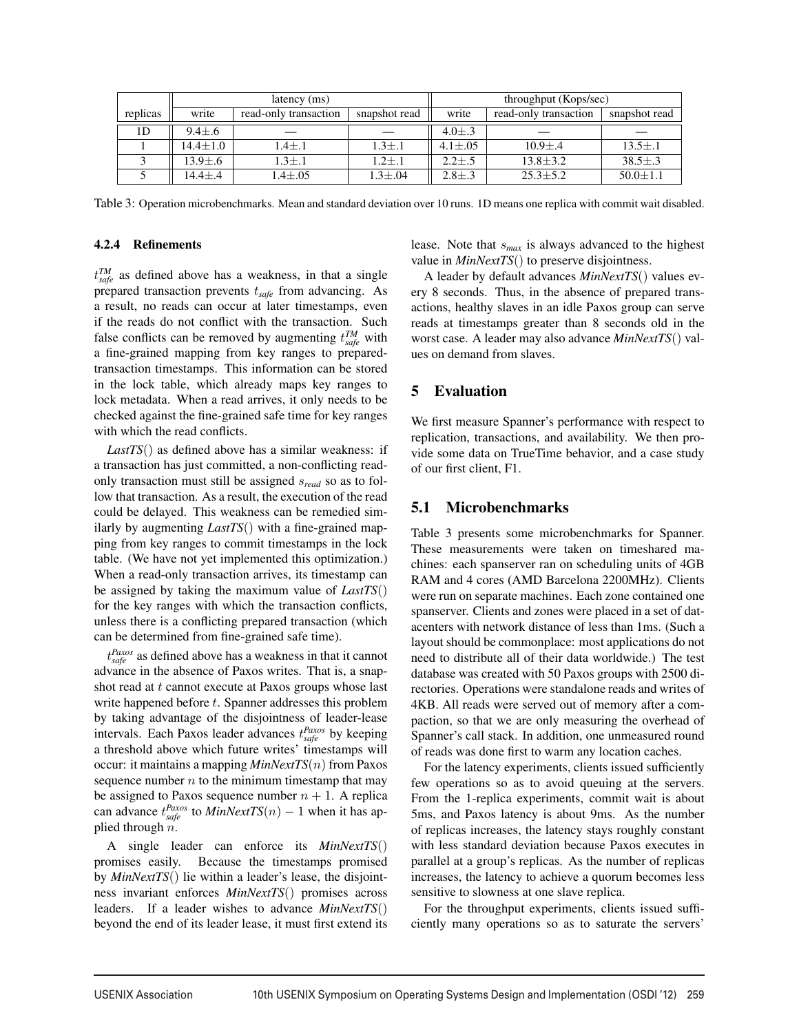|          | latency (ms)   |                       |               | throughput (Kops/sec) |                       |                |
|----------|----------------|-----------------------|---------------|-----------------------|-----------------------|----------------|
| replicas | write          | read-only transaction | snapshot read | write                 | read-only transaction | snapshot read  |
| 1D       | $9.4 + .6$     |                       |               | $4.0 \pm .3$          |                       |                |
|          | $14.4 \pm 1.0$ | $1.4 + .1$            | $1.3 \pm .1$  | $4.1 \pm .05$         | $10.9 + .4$           | $13.5 \pm .1$  |
|          | $13.9 \pm .6$  | $1.3 + .1$            | $1.2 \pm .1$  | $2.2 + .5$            | $13.8 \pm 3.2$        | $38.5 \pm .3$  |
|          | $14.4 + .4$    | $1.4 \pm .05$         | $1.3 \pm .04$ | $2.8 \pm .3$          | $25.3 \pm 5.2$        | $50.0 \pm 1.1$ |

Table 3: Operation microbenchmarks. Mean and standard deviation over 10 runs. 1D means one replica with commit wait disabled.

#### 4.2.4 Refinements

 $t_{\textit{safe}}^{TM}$  as defined above has a weakness, in that a single prepared transaction prevents t*safe* from advancing. As a result, no reads can occur at later timestamps, even if the reads do not conflict with the transaction. Such false conflicts can be removed by augmenting  $t_{\textit{safe}}^{TM}$  with a fine-grained mapping from key ranges to preparedtransaction timestamps. This information can be stored in the lock table, which already maps key ranges to lock metadata. When a read arrives, it only needs to be checked against the fine-grained safe time for key ranges with which the read conflicts.

*LastTS*() as defined above has a similar weakness: if a transaction has just committed, a non-conflicting readonly transaction must still be assigned s*read* so as to follow that transaction. As a result, the execution of the read could be delayed. This weakness can be remedied similarly by augmenting *LastTS*() with a fine-grained mapping from key ranges to commit timestamps in the lock table. (We have not yet implemented this optimization.) When a read-only transaction arrives, its timestamp can be assigned by taking the maximum value of *LastTS*() for the key ranges with which the transaction conflicts, unless there is a conflicting prepared transaction (which can be determined from fine-grained safe time).

t *Paxos safe* as defined above has a weakness in that it cannot advance in the absence of Paxos writes. That is, a snapshot read at  $t$  cannot execute at Paxos groups whose last write happened before  $t$ . Spanner addresses this problem by taking advantage of the disjointness of leader-lease intervals. Each Paxos leader advances t *Paxos safe* by keeping a threshold above which future writes' timestamps will occur: it maintains a mapping *MinNextTS*(n) from Paxos sequence number  $n$  to the minimum timestamp that may be assigned to Paxos sequence number  $n + 1$ . A replica can advance  $t_{\textit{safe}}^{\textit{Paxos}}$  to  $\textit{MinNextTS}(n) - 1$  when it has applied through  $n$ .

A single leader can enforce its *MinNextTS*() promises easily. Because the timestamps promised by *MinNextTS*() lie within a leader's lease, the disjointness invariant enforces *MinNextTS*() promises across leaders. If a leader wishes to advance *MinNextTS*() beyond the end of its leader lease, it must first extend its lease. Note that s*max* is always advanced to the highest value in *MinNextTS*() to preserve disjointness.

A leader by default advances *MinNextTS*() values every 8 seconds. Thus, in the absence of prepared transactions, healthy slaves in an idle Paxos group can serve reads at timestamps greater than 8 seconds old in the worst case. A leader may also advance *MinNextTS*() values on demand from slaves.

## 5 Evaluation

We first measure Spanner's performance with respect to replication, transactions, and availability. We then provide some data on TrueTime behavior, and a case study of our first client, F1.

## 5.1 Microbenchmarks

Table 3 presents some microbenchmarks for Spanner. These measurements were taken on timeshared machines: each spanserver ran on scheduling units of 4GB RAM and 4 cores (AMD Barcelona 2200MHz). Clients were run on separate machines. Each zone contained one spanserver. Clients and zones were placed in a set of datacenters with network distance of less than 1ms. (Such a layout should be commonplace: most applications do not need to distribute all of their data worldwide.) The test database was created with 50 Paxos groups with 2500 directories. Operations were standalone reads and writes of 4KB. All reads were served out of memory after a compaction, so that we are only measuring the overhead of Spanner's call stack. In addition, one unmeasured round of reads was done first to warm any location caches.

For the latency experiments, clients issued sufficiently few operations so as to avoid queuing at the servers. From the 1-replica experiments, commit wait is about 5ms, and Paxos latency is about 9ms. As the number of replicas increases, the latency stays roughly constant with less standard deviation because Paxos executes in parallel at a group's replicas. As the number of replicas increases, the latency to achieve a quorum becomes less sensitive to slowness at one slave replica.

For the throughput experiments, clients issued sufficiently many operations so as to saturate the servers'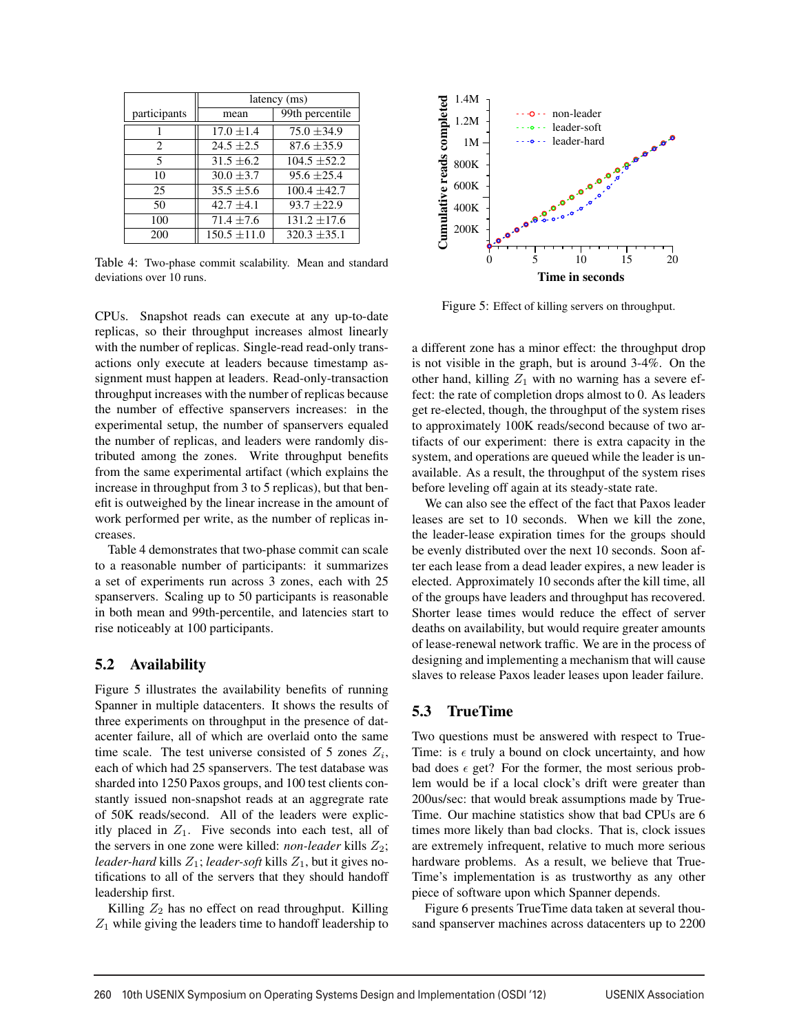|                             | latency (ms)     |                  |  |
|-----------------------------|------------------|------------------|--|
| participants                | mean             | 99th percentile  |  |
|                             | $17.0 \pm 1.4$   | $75.0 \pm 34.9$  |  |
| $\mathcal{D}_{\mathcal{L}}$ | $24.5 \pm 2.5$   | $87.6 \pm 35.9$  |  |
| 5                           | $31.5 + 6.2$     | $104.5 + 52.2$   |  |
| 10                          | $30.0 \pm 3.7$   | $95.6 \pm 25.4$  |  |
| 25                          | $35.5 \pm 5.6$   | $100.4 \pm 42.7$ |  |
| 50                          | $42.7 + 4.1$     | $93.7 \pm 22.9$  |  |
| 100                         | $71.4 \pm 7.6$   | $131.2 + 17.6$   |  |
| 200                         | $150.5 \pm 11.0$ | $320.3 \pm 35.1$ |  |

Table 4: Two-phase commit scalability. Mean and standard deviations over 10 runs.

CPUs. Snapshot reads can execute at any up-to-date replicas, so their throughput increases almost linearly with the number of replicas. Single-read read-only transactions only execute at leaders because timestamp assignment must happen at leaders. Read-only-transaction throughput increases with the number of replicas because the number of effective spanservers increases: in the experimental setup, the number of spanservers equaled the number of replicas, and leaders were randomly distributed among the zones. Write throughput benefits from the same experimental artifact (which explains the increase in throughput from 3 to 5 replicas), but that benefit is outweighed by the linear increase in the amount of work performed per write, as the number of replicas increases.

Table 4 demonstrates that two-phase commit can scale to a reasonable number of participants: it summarizes a set of experiments run across 3 zones, each with 25 spanservers. Scaling up to 50 participants is reasonable in both mean and 99th-percentile, and latencies start to rise noticeably at 100 participants.

# 5.2 Availability

Figure 5 illustrates the availability benefits of running Spanner in multiple datacenters. It shows the results of three experiments on throughput in the presence of datacenter failure, all of which are overlaid onto the same time scale. The test universe consisted of 5 zones  $Z_i$ , each of which had 25 spanservers. The test database was sharded into 1250 Paxos groups, and 100 test clients constantly issued non-snapshot reads at an aggregrate rate of 50K reads/second. All of the leaders were explicitly placed in  $Z_1$ . Five seconds into each test, all of the servers in one zone were killed: *non-leader* kills  $Z_2$ ; *leader-hard* kills  $Z_1$ ; *leader-soft* kills  $Z_1$ , but it gives notifications to all of the servers that they should handoff leadership first.

Killing  $Z_2$  has no effect on read throughput. Killing  $Z_1$  while giving the leaders time to handoff leadership to



Figure 5: Effect of killing servers on throughput.

a different zone has a minor effect: the throughput drop is not visible in the graph, but is around 3-4%. On the other hand, killing  $Z_1$  with no warning has a severe effect: the rate of completion drops almost to 0. As leaders get re-elected, though, the throughput of the system rises to approximately 100K reads/second because of two artifacts of our experiment: there is extra capacity in the system, and operations are queued while the leader is unavailable. As a result, the throughput of the system rises before leveling off again at its steady-state rate.

We can also see the effect of the fact that Paxos leader leases are set to 10 seconds. When we kill the zone, the leader-lease expiration times for the groups should be evenly distributed over the next 10 seconds. Soon after each lease from a dead leader expires, a new leader is elected. Approximately 10 seconds after the kill time, all of the groups have leaders and throughput has recovered. Shorter lease times would reduce the effect of server deaths on availability, but would require greater amounts of lease-renewal network traffic. We are in the process of designing and implementing a mechanism that will cause slaves to release Paxos leader leases upon leader failure.

# 5.3 TrueTime

Two questions must be answered with respect to True-Time: is  $\epsilon$  truly a bound on clock uncertainty, and how bad does  $\epsilon$  get? For the former, the most serious problem would be if a local clock's drift were greater than 200us/sec: that would break assumptions made by True-Time. Our machine statistics show that bad CPUs are 6 times more likely than bad clocks. That is, clock issues are extremely infrequent, relative to much more serious hardware problems. As a result, we believe that True-Time's implementation is as trustworthy as any other piece of software upon which Spanner depends.

Figure 6 presents TrueTime data taken at several thousand spanserver machines across datacenters up to 2200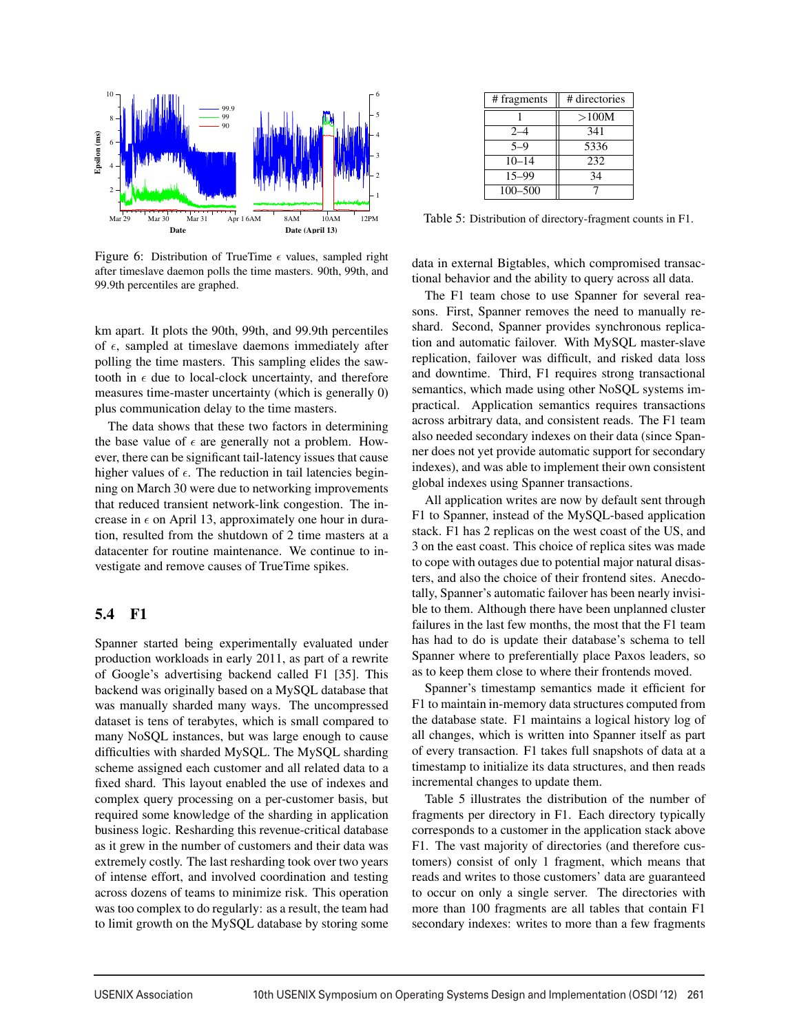

Figure 6: Distribution of TrueTime  $\epsilon$  values, sampled right after timeslave daemon polls the time masters. 90th, 99th, and 99.9th percentiles are graphed.

km apart. It plots the 90th, 99th, and 99.9th percentiles of  $\epsilon$ , sampled at timeslave daemons immediately after polling the time masters. This sampling elides the sawtooth in  $\epsilon$  due to local-clock uncertainty, and therefore measures time-master uncertainty (which is generally 0) plus communication delay to the time masters.

The data shows that these two factors in determining the base value of  $\epsilon$  are generally not a problem. However, there can be significant tail-latency issues that cause higher values of  $\epsilon$ . The reduction in tail latencies beginning on March 30 were due to networking improvements that reduced transient network-link congestion. The increase in  $\epsilon$  on April 13, approximately one hour in duration, resulted from the shutdown of 2 time masters at a datacenter for routine maintenance. We continue to investigate and remove causes of TrueTime spikes.

#### 5.4 F1

Spanner started being experimentally evaluated under production workloads in early 2011, as part of a rewrite of Google's advertising backend called F1 [35]. This backend was originally based on a MySQL database that was manually sharded many ways. The uncompressed dataset is tens of terabytes, which is small compared to many NoSQL instances, but was large enough to cause difficulties with sharded MySQL. The MySQL sharding scheme assigned each customer and all related data to a fixed shard. This layout enabled the use of indexes and complex query processing on a per-customer basis, but required some knowledge of the sharding in application business logic. Resharding this revenue-critical database as it grew in the number of customers and their data was extremely costly. The last resharding took over two years of intense effort, and involved coordination and testing across dozens of teams to minimize risk. This operation was too complex to do regularly: as a result, the team had to limit growth on the MySQL database by storing some

| # fragments | # directories |
|-------------|---------------|
|             | >100M         |
| $2 - 4$     | 341           |
| $5 - 9$     | 5336          |
| $10 - 14$   | 232           |
| $15 - 99$   | 34            |
| 100-500     |               |

Table 5: Distribution of directory-fragment counts in F1.

data in external Bigtables, which compromised transactional behavior and the ability to query across all data.

The F1 team chose to use Spanner for several reasons. First, Spanner removes the need to manually reshard. Second, Spanner provides synchronous replication and automatic failover. With MySQL master-slave replication, failover was difficult, and risked data loss and downtime. Third, F1 requires strong transactional semantics, which made using other NoSQL systems impractical. Application semantics requires transactions across arbitrary data, and consistent reads. The F1 team also needed secondary indexes on their data (since Spanner does not yet provide automatic support for secondary indexes), and was able to implement their own consistent global indexes using Spanner transactions.

All application writes are now by default sent through F1 to Spanner, instead of the MySQL-based application stack. F1 has 2 replicas on the west coast of the US, and 3 on the east coast. This choice of replica sites was made to cope with outages due to potential major natural disasters, and also the choice of their frontend sites. Anecdotally, Spanner's automatic failover has been nearly invisible to them. Although there have been unplanned cluster failures in the last few months, the most that the F1 team has had to do is update their database's schema to tell Spanner where to preferentially place Paxos leaders, so as to keep them close to where their frontends moved.

Spanner's timestamp semantics made it efficient for F1 to maintain in-memory data structures computed from the database state. F1 maintains a logical history log of all changes, which is written into Spanner itself as part of every transaction. F1 takes full snapshots of data at a timestamp to initialize its data structures, and then reads incremental changes to update them.

Table 5 illustrates the distribution of the number of fragments per directory in F1. Each directory typically corresponds to a customer in the application stack above F1. The vast majority of directories (and therefore customers) consist of only 1 fragment, which means that reads and writes to those customers' data are guaranteed to occur on only a single server. The directories with more than 100 fragments are all tables that contain F1 secondary indexes: writes to more than a few fragments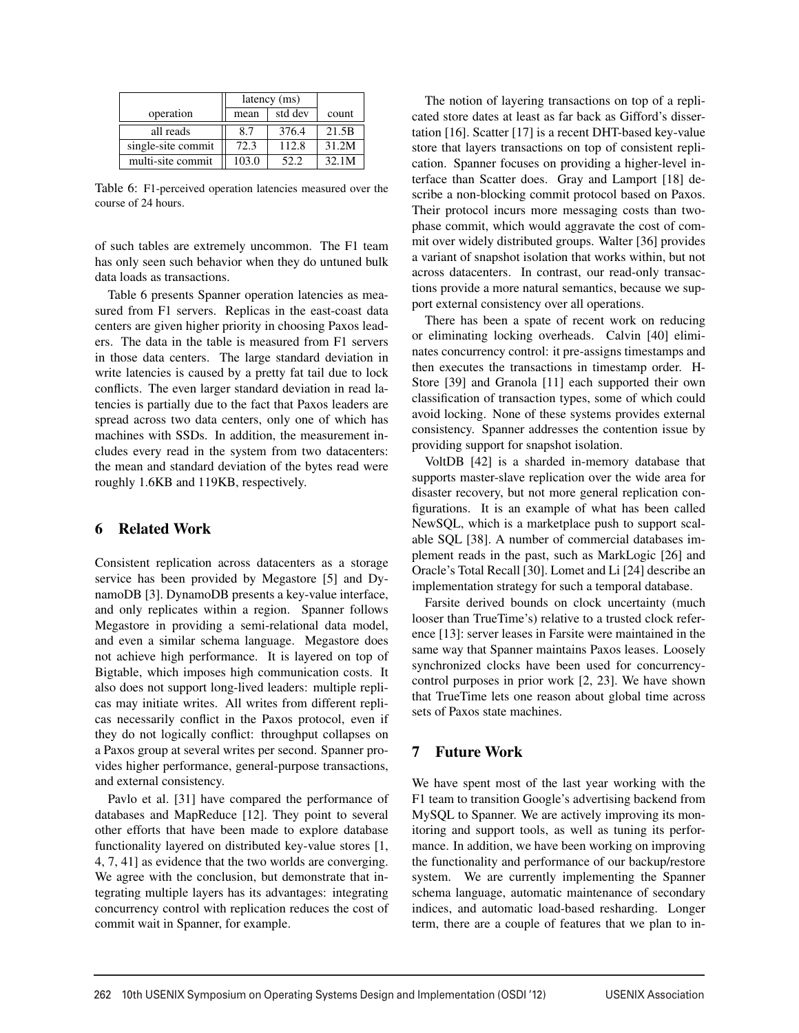|                    | latency (ms) |         |       |
|--------------------|--------------|---------|-------|
| operation          | mean         | std dev | count |
| all reads          | 8.7          | 376.4   | 21.5B |
| single-site commit | 72.3         | 112.8   | 31.2M |
| multi-site commit  | 103.0        | 52.2    | 32.1M |

Table 6: F1-perceived operation latencies measured over the course of 24 hours.

of such tables are extremely uncommon. The F1 team has only seen such behavior when they do untuned bulk data loads as transactions.

Table 6 presents Spanner operation latencies as measured from F1 servers. Replicas in the east-coast data centers are given higher priority in choosing Paxos leaders. The data in the table is measured from F1 servers in those data centers. The large standard deviation in write latencies is caused by a pretty fat tail due to lock conflicts. The even larger standard deviation in read latencies is partially due to the fact that Paxos leaders are spread across two data centers, only one of which has machines with SSDs. In addition, the measurement includes every read in the system from two datacenters: the mean and standard deviation of the bytes read were roughly 1.6KB and 119KB, respectively.

## 6 Related Work

Consistent replication across datacenters as a storage service has been provided by Megastore [5] and DynamoDB [3]. DynamoDB presents a key-value interface, and only replicates within a region. Spanner follows Megastore in providing a semi-relational data model, and even a similar schema language. Megastore does not achieve high performance. It is layered on top of Bigtable, which imposes high communication costs. It also does not support long-lived leaders: multiple replicas may initiate writes. All writes from different replicas necessarily conflict in the Paxos protocol, even if they do not logically conflict: throughput collapses on a Paxos group at several writes per second. Spanner provides higher performance, general-purpose transactions, and external consistency.

Pavlo et al. [31] have compared the performance of databases and MapReduce [12]. They point to several other efforts that have been made to explore database functionality layered on distributed key-value stores [1, 4, 7, 41] as evidence that the two worlds are converging. We agree with the conclusion, but demonstrate that integrating multiple layers has its advantages: integrating concurrency control with replication reduces the cost of commit wait in Spanner, for example.

The notion of layering transactions on top of a replicated store dates at least as far back as Gifford's dissertation [16]. Scatter [17] is a recent DHT-based key-value store that layers transactions on top of consistent replication. Spanner focuses on providing a higher-level interface than Scatter does. Gray and Lamport [18] describe a non-blocking commit protocol based on Paxos. Their protocol incurs more messaging costs than twophase commit, which would aggravate the cost of commit over widely distributed groups. Walter [36] provides a variant of snapshot isolation that works within, but not across datacenters. In contrast, our read-only transactions provide a more natural semantics, because we support external consistency over all operations.

There has been a spate of recent work on reducing or eliminating locking overheads. Calvin [40] eliminates concurrency control: it pre-assigns timestamps and then executes the transactions in timestamp order. H-Store [39] and Granola [11] each supported their own classification of transaction types, some of which could avoid locking. None of these systems provides external consistency. Spanner addresses the contention issue by providing support for snapshot isolation.

VoltDB [42] is a sharded in-memory database that supports master-slave replication over the wide area for disaster recovery, but not more general replication configurations. It is an example of what has been called NewSQL, which is a marketplace push to support scalable SQL [38]. A number of commercial databases implement reads in the past, such as MarkLogic [26] and Oracle's Total Recall [30]. Lomet and Li [24] describe an implementation strategy for such a temporal database.

Farsite derived bounds on clock uncertainty (much looser than TrueTime's) relative to a trusted clock reference [13]: server leases in Farsite were maintained in the same way that Spanner maintains Paxos leases. Loosely synchronized clocks have been used for concurrencycontrol purposes in prior work [2, 23]. We have shown that TrueTime lets one reason about global time across sets of Paxos state machines.

# 7 Future Work

We have spent most of the last year working with the F1 team to transition Google's advertising backend from MySQL to Spanner. We are actively improving its monitoring and support tools, as well as tuning its performance. In addition, we have been working on improving the functionality and performance of our backup/restore system. We are currently implementing the Spanner schema language, automatic maintenance of secondary indices, and automatic load-based resharding. Longer term, there are a couple of features that we plan to in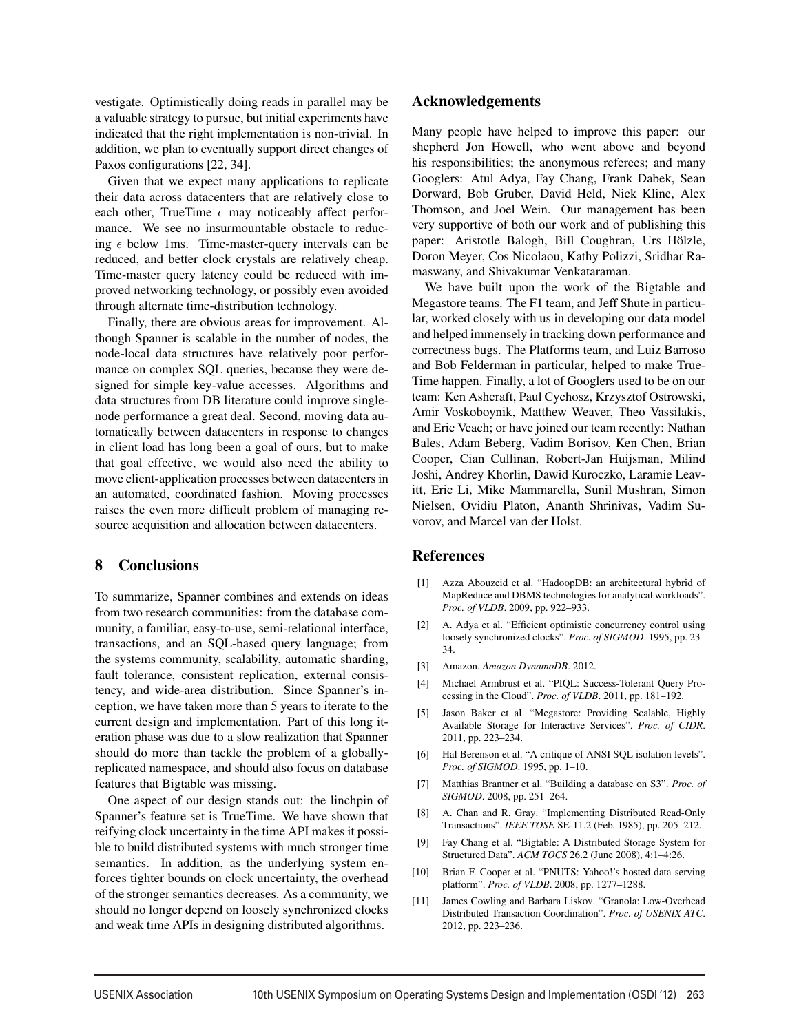vestigate. Optimistically doing reads in parallel may be a valuable strategy to pursue, but initial experiments have indicated that the right implementation is non-trivial. In addition, we plan to eventually support direct changes of Paxos configurations [22, 34].

Given that we expect many applications to replicate their data across datacenters that are relatively close to each other, TrueTime  $\epsilon$  may noticeably affect performance. We see no insurmountable obstacle to reducing  $\epsilon$  below 1ms. Time-master-query intervals can be reduced, and better clock crystals are relatively cheap. Time-master query latency could be reduced with improved networking technology, or possibly even avoided through alternate time-distribution technology.

Finally, there are obvious areas for improvement. Although Spanner is scalable in the number of nodes, the node-local data structures have relatively poor performance on complex SQL queries, because they were designed for simple key-value accesses. Algorithms and data structures from DB literature could improve singlenode performance a great deal. Second, moving data automatically between datacenters in response to changes in client load has long been a goal of ours, but to make that goal effective, we would also need the ability to move client-application processes between datacenters in an automated, coordinated fashion. Moving processes raises the even more difficult problem of managing resource acquisition and allocation between datacenters.

#### 8 Conclusions

To summarize, Spanner combines and extends on ideas from two research communities: from the database community, a familiar, easy-to-use, semi-relational interface, transactions, and an SQL-based query language; from the systems community, scalability, automatic sharding, fault tolerance, consistent replication, external consistency, and wide-area distribution. Since Spanner's inception, we have taken more than 5 years to iterate to the current design and implementation. Part of this long iteration phase was due to a slow realization that Spanner should do more than tackle the problem of a globallyreplicated namespace, and should also focus on database features that Bigtable was missing.

One aspect of our design stands out: the linchpin of Spanner's feature set is TrueTime. We have shown that reifying clock uncertainty in the time API makes it possible to build distributed systems with much stronger time semantics. In addition, as the underlying system enforces tighter bounds on clock uncertainty, the overhead of the stronger semantics decreases. As a community, we should no longer depend on loosely synchronized clocks and weak time APIs in designing distributed algorithms.

#### Acknowledgements

Many people have helped to improve this paper: our shepherd Jon Howell, who went above and beyond his responsibilities; the anonymous referees; and many Googlers: Atul Adya, Fay Chang, Frank Dabek, Sean Dorward, Bob Gruber, David Held, Nick Kline, Alex Thomson, and Joel Wein. Our management has been very supportive of both our work and of publishing this paper: Aristotle Balogh, Bill Coughran, Urs Hölzle, Doron Meyer, Cos Nicolaou, Kathy Polizzi, Sridhar Ramaswany, and Shivakumar Venkataraman.

We have built upon the work of the Bigtable and Megastore teams. The F1 team, and Jeff Shute in particular, worked closely with us in developing our data model and helped immensely in tracking down performance and correctness bugs. The Platforms team, and Luiz Barroso and Bob Felderman in particular, helped to make True-Time happen. Finally, a lot of Googlers used to be on our team: Ken Ashcraft, Paul Cychosz, Krzysztof Ostrowski, Amir Voskoboynik, Matthew Weaver, Theo Vassilakis, and Eric Veach; or have joined our team recently: Nathan Bales, Adam Beberg, Vadim Borisov, Ken Chen, Brian Cooper, Cian Cullinan, Robert-Jan Huijsman, Milind Joshi, Andrey Khorlin, Dawid Kuroczko, Laramie Leavitt, Eric Li, Mike Mammarella, Sunil Mushran, Simon Nielsen, Ovidiu Platon, Ananth Shrinivas, Vadim Suvorov, and Marcel van der Holst.

## **References**

- [1] Azza Abouzeid et al. "HadoopDB: an architectural hybrid of MapReduce and DBMS technologies for analytical workloads". *Proc. of VLDB*. 2009, pp. 922–933.
- [2] A. Adya et al. "Efficient optimistic concurrency control using loosely synchronized clocks". *Proc. of SIGMOD*. 1995, pp. 23– 34.
- [3] Amazon. *Amazon DynamoDB*. 2012.
- [4] Michael Armbrust et al. "PIQL: Success-Tolerant Query Processing in the Cloud". *Proc. of VLDB*. 2011, pp. 181–192.
- [5] Jason Baker et al. "Megastore: Providing Scalable, Highly Available Storage for Interactive Services". *Proc. of CIDR*. 2011, pp. 223–234.
- [6] Hal Berenson et al. "A critique of ANSI SQL isolation levels". *Proc. of SIGMOD*. 1995, pp. 1–10.
- [7] Matthias Brantner et al. "Building a database on S3". *Proc. of SIGMOD*. 2008, pp. 251–264.
- [8] A. Chan and R. Gray. "Implementing Distributed Read-Only Transactions". *IEEE TOSE* SE-11.2 (Feb. 1985), pp. 205–212.
- [9] Fay Chang et al. "Bigtable: A Distributed Storage System for Structured Data". *ACM TOCS* 26.2 (June 2008), 4:1–4:26.
- [10] Brian F. Cooper et al. "PNUTS: Yahoo!'s hosted data serving platform". *Proc. of VLDB*. 2008, pp. 1277–1288.
- [11] James Cowling and Barbara Liskov. "Granola: Low-Overhead Distributed Transaction Coordination". *Proc. of USENIX ATC*. 2012, pp. 223–236.